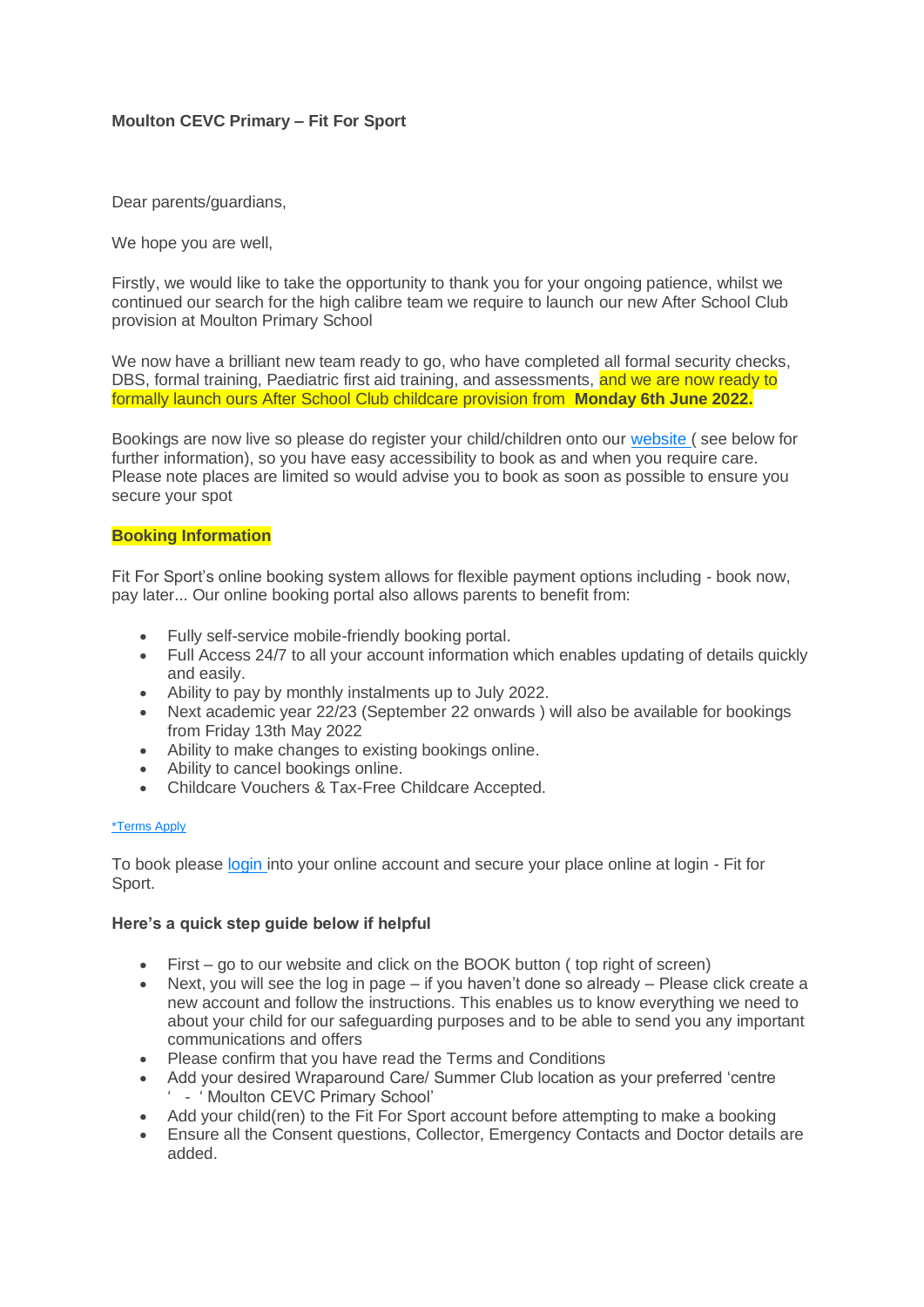## **Moulton CEVC Primary – Fit For Sport**

Dear parents/guardians,

We hope you are well.

Firstly, we would like to take the opportunity to thank you for your ongoing patience, whilst we continued our search for the high calibre team we require to launch our new After School Club provision at Moulton Primary School

We now have a brilliant new team ready to go, who have completed all formal security checks, DBS, formal training, Paediatric first aid training, and assessments, and we are now ready to formally launch ours After School Club childcare provision from **Monday 6th June 2022.**

Bookings are now live so please do register your child/children onto our [website](https://fitforsport.magicbooking.co.uk/Identity/Account/Login) ( see below for further information), so you have easy accessibility to book as and when you require care. Please note places are limited so would advise you to book as soon as possible to ensure you secure your spot

## **Booking Information**

Fit For Sport's online booking system allows for flexible payment options including - book now, pay later... Our online booking portal also allows parents to benefit from:

- Fully self-service mobile-friendly booking portal.
- Full Access 24/7 to all your account information which enables updating of details quickly and easily.
- Ability to pay by monthly instalments up to July 2022.
- Next academic year 22/23 (September 22 onwards ) will also be available for bookings from Friday 13th May 2022
- Ability to make changes to existing bookings online.
- Ability to cancel bookings online.
- Childcare Vouchers & Tax-Free Childcare Accepted.

## [\\*Terms Apply](https://www.fitforsport.co.uk/terms-conditions)

To book please [login](https://fitforsport.magicbooking.co.uk/Identity/Account/Login) into your online account and secure your place online at login - Fit for Sport.

## **Here's a quick step guide below if helpful**

- First go to our website and click on the BOOK button (top right of screen)<br>• Next, you will see the log in page if you haven't done so already Please
- Next, you will see the log in page if you haven't done so already Please click create a new account and follow the instructions. This enables us to know everything we need to about your child for our safeguarding purposes and to be able to send you any important communications and offers
- Please confirm that you have read the Terms and Conditions
- Add your desired Wraparound Care/ Summer Club location as your preferred 'centre - ' Moulton CEVC Primary School'
- Add your child(ren) to the Fit For Sport account before attempting to make a booking
- Ensure all the Consent questions, Collector, Emergency Contacts and Doctor details are added.